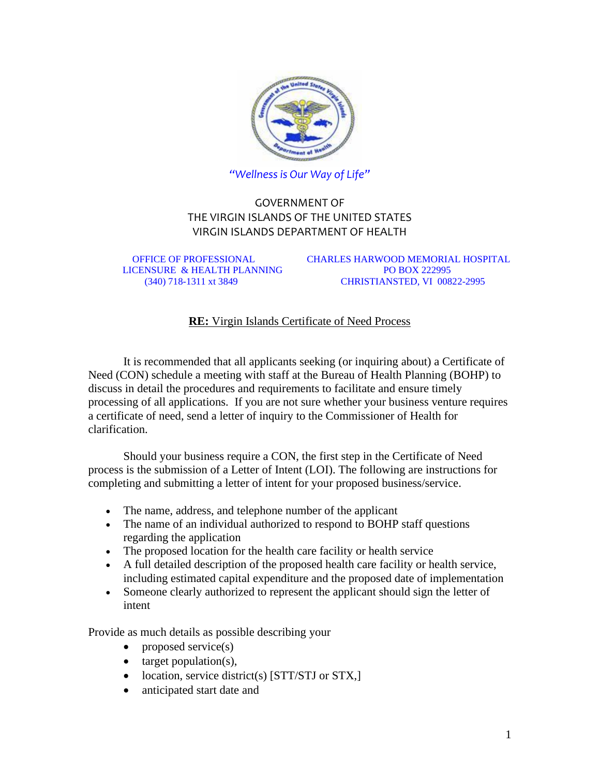

*"Wellness is Our Way of Life"*

## GOVERNMENT OF THE VIRGIN ISLANDS OF THE UNITED STATES VIRGIN ISLANDS DEPARTMENT OF HEALTH

LICENSURE & HEALTH PLANNING PO BOX 222995

 OFFICE OF PROFESSIONAL CHARLES HARWOOD MEMORIAL HOSPITAL (340) 718-1311 xt 3849 CHRISTIANSTED, VI 00822-2995

## **RE:** Virgin Islands Certificate of Need Process

It is recommended that all applicants seeking (or inquiring about) a Certificate of Need (CON) schedule a meeting with staff at the Bureau of Health Planning (BOHP) to discuss in detail the procedures and requirements to facilitate and ensure timely processing of all applications. If you are not sure whether your business venture requires a certificate of need, send a letter of inquiry to the Commissioner of Health for clarification.

Should your business require a CON, the first step in the Certificate of Need process is the submission of a Letter of Intent (LOI). The following are instructions for completing and submitting a letter of intent for your proposed business/service.

- The name, address, and telephone number of the applicant
- The name of an individual authorized to respond to BOHP staff questions regarding the application
- The proposed location for the health care facility or health service
- A full detailed description of the proposed health care facility or health service, including estimated capital expenditure and the proposed date of implementation
- Someone clearly authorized to represent the applicant should sign the letter of intent

Provide as much details as possible describing your

- proposed service $(s)$
- target population(s),
- location, service district(s) [STT/STJ or STX,]
- anticipated start date and